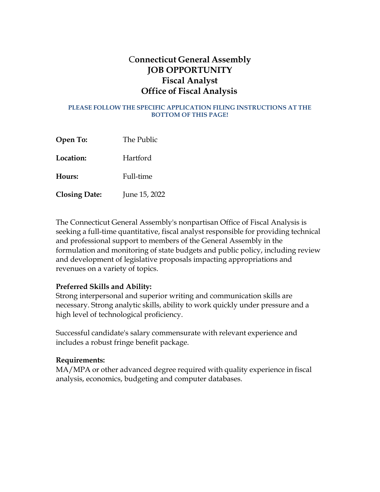# C**onnecticut General Assembly JOB OPPORTUNITY Fiscal Analyst Office of Fiscal Analysis**

#### **PLEASE FOLLOW THE SPECIFIC APPLICATION FILING INSTRUCTIONS AT THE BOTTOM OF THIS PAGE!**

| Open To:             | The Public    |
|----------------------|---------------|
| Location:            | Hartford      |
| Hours:               | Full-time     |
| <b>Closing Date:</b> | June 15, 2022 |

The Connecticut General Assembly's nonpartisan Office of Fiscal Analysis is seeking a full-time quantitative, fiscal analyst responsible for providing technical and professional support to members of the General Assembly in the formulation and monitoring of state budgets and public policy, including review and development of legislative proposals impacting appropriations and revenues on a variety of topics.

### **Preferred Skills and Ability:**

Strong interpersonal and superior writing and communication skills are necessary. Strong analytic skills, ability to work quickly under pressure and a high level of technological proficiency.

Successful candidate's salary commensurate with relevant experience and includes a robust fringe benefit package.

### **Requirements:**

MA/MPA or other advanced degree required with quality experience in fiscal analysis, economics, budgeting and computer databases.